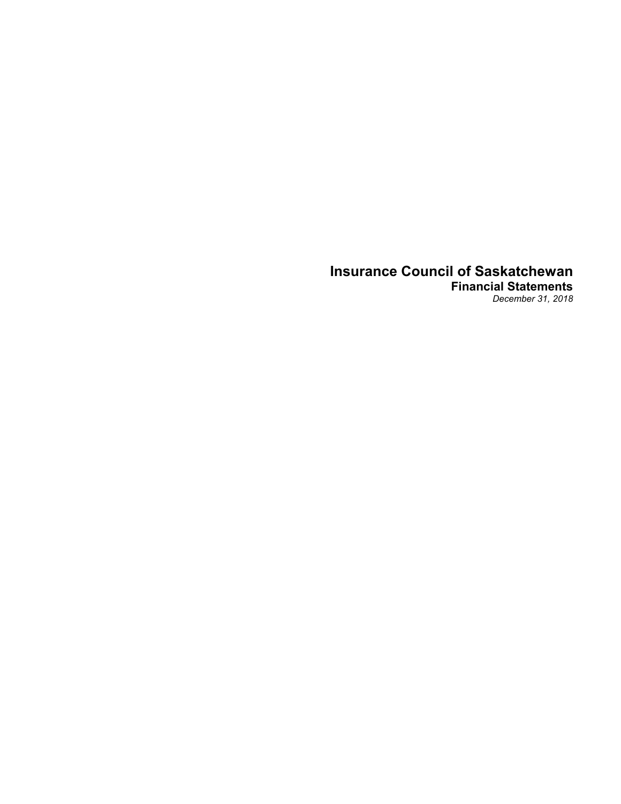# **Insurance Council of Saskatchewan Financial Statements**

*December 31, 2018*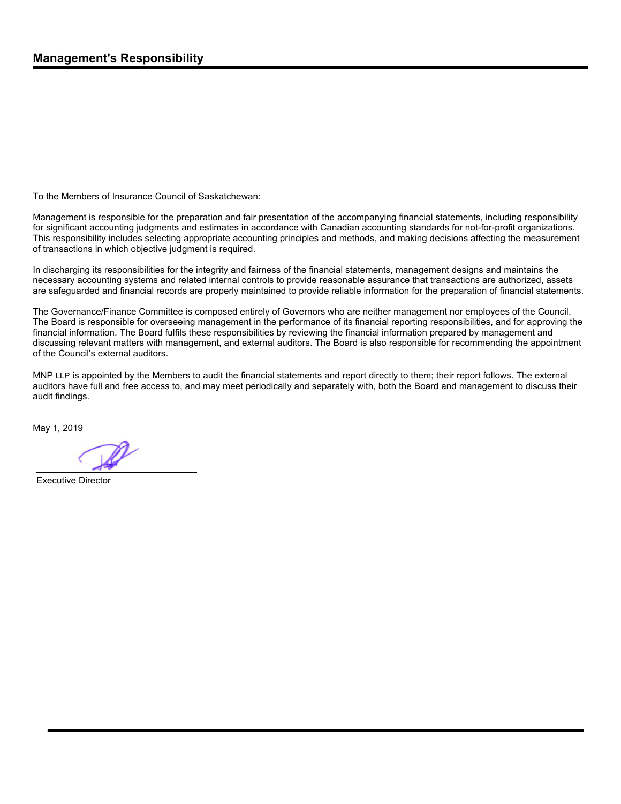To the Members of Insurance Council of Saskatchewan:

Management is responsible for the preparation and fair presentation of the accompanying financial statements, including responsibility for significant accounting judgments and estimates in accordance with Canadian accounting standards for not-for-profit organizations. This responsibility includes selecting appropriate accounting principles and methods, and making decisions affecting the measurement of transactions in which objective judgment is required.

In discharging its responsibilities for the integrity and fairness of the financial statements, management designs and maintains the necessary accounting systems and related internal controls to provide reasonable assurance that transactions are authorized, assets are safeguarded and financial records are properly maintained to provide reliable information for the preparation of financial statements.

The Governance/Finance Committee is composed entirely of Governors who are neither management nor employees of the Council. The Board is responsible for overseeing management in the performance of its financial reporting responsibilities, and for approving the financial information. The Board fulfils these responsibilities by reviewing the financial information prepared by management and discussing relevant matters with management, and external auditors. The Board is also responsible for recommending the appointment of the Council's external auditors.

MNP LLP is appointed by the Members to audit the financial statements and report directly to them; their report follows. The external auditors have full and free access to, and may meet periodically and separately with, both the Board and management to discuss their audit findings.

May 1, 2019

Executive Director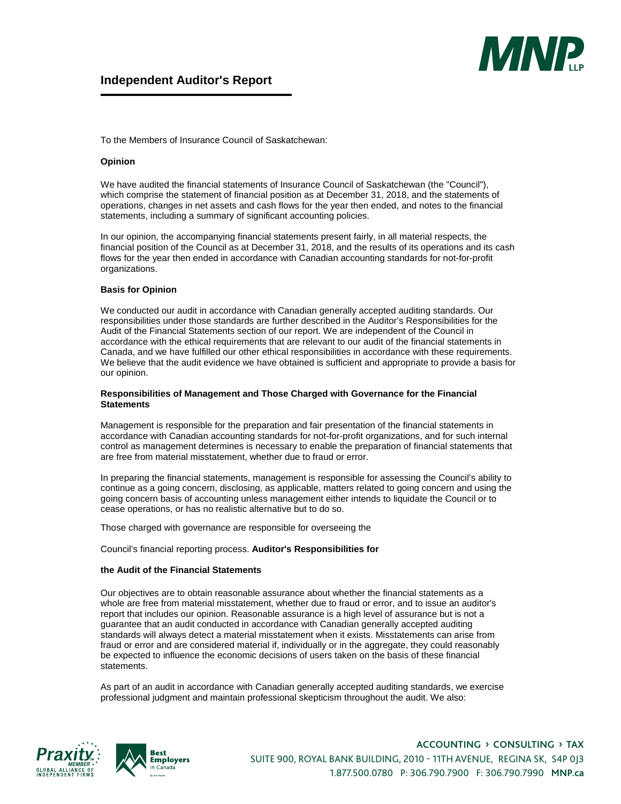

To the Members of Insurance Council of Saskatchewan:

## **Opinion**

We have audited the financial statements of Insurance Council of Saskatchewan (the "Council"), which comprise the statement of financial position as at December 31, 2018, and the statements of operations, changes in net assets and cash flows for the year then ended, and notes to the financial statements, including a summary of significant accounting policies.

In our opinion, the accompanying financial statements present fairly, in all material respects, the financial position of the Council as at December 31, 2018, and the results of its operations and its cash flows for the year then ended in accordance with Canadian accounting standards for not-for-profit organizations.

# **Basis for Opinion**

We conducted our audit in accordance with Canadian generally accepted auditing standards. Our responsibilities under those standards are further described in the Auditor's Responsibilities for the Audit of the Financial Statements section of our report. We are independent of the Council in accordance with the ethical requirements that are relevant to our audit of the financial statements in Canada, and we have fulfilled our other ethical responsibilities in accordance with these requirements. We believe that the audit evidence we have obtained is sufficient and appropriate to provide a basis for our opinion.

#### **Responsibilities of Management and Those Charged with Governance for the Financial Statements**

Management is responsible for the preparation and fair presentation of the financial statements in accordance with Canadian accounting standards for not-for-profit organizations, and for such internal control as management determines is necessary to enable the preparation of financial statements that are free from material misstatement, whether due to fraud or error.

In preparing the financial statements, management is responsible for assessing the Council's ability to continue as a going concern, disclosing, as applicable, matters related to going concern and using the going concern basis of accounting unless management either intends to liquidate the Council or to cease operations, or has no realistic alternative but to do so.

Those charged with governance are responsible for overseeing the

Council's financial reporting process. **Auditor's Responsibilities for** 

### **the Audit of the Financial Statements**

Our objectives are to obtain reasonable assurance about whether the financial statements as a whole are free from material misstatement, whether due to fraud or error, and to issue an auditor's report that includes our opinion. Reasonable assurance is a high level of assurance but is not a guarantee that an audit conducted in accordance with Canadian generally accepted auditing standards will always detect a material misstatement when it exists. Misstatements can arise from fraud or error and are considered material if, individually or in the aggregate, they could reasonably be expected to influence the economic decisions of users taken on the basis of these financial statements.

As part of an audit in accordance with Canadian generally accepted auditing standards, we exercise professional judgment and maintain professional skepticism throughout the audit. We also:





**Accounting › Consulting › Tax** Suite 900, Royal Bank Building, 2010 - 11th Avenue, Regina SK, S4P 0J3 1.877.500.0780 P: 306.790.7900 F: 306.790.7990 **MNP.ca**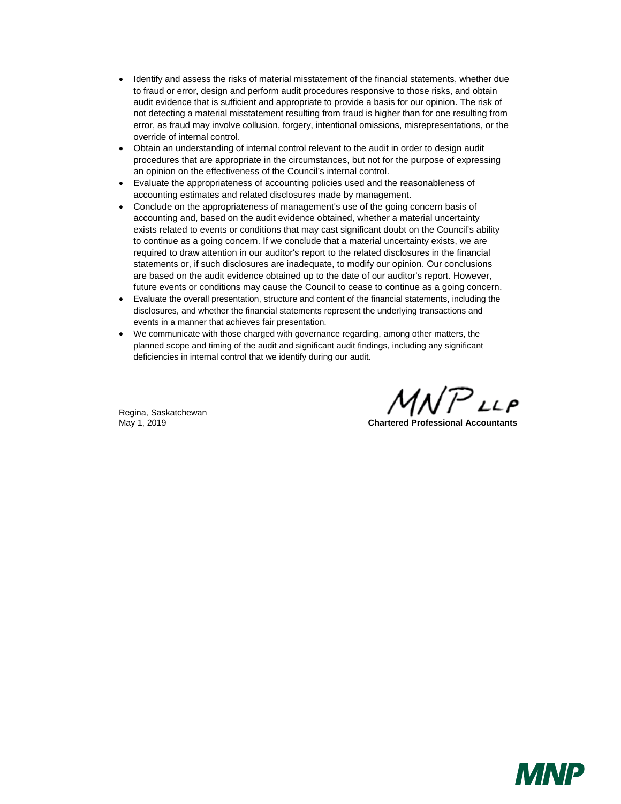- Identify and assess the risks of material misstatement of the financial statements, whether due to fraud or error, design and perform audit procedures responsive to those risks, and obtain audit evidence that is sufficient and appropriate to provide a basis for our opinion. The risk of not detecting a material misstatement resulting from fraud is higher than for one resulting from error, as fraud may involve collusion, forgery, intentional omissions, misrepresentations, or the override of internal control.
- Obtain an understanding of internal control relevant to the audit in order to design audit procedures that are appropriate in the circumstances, but not for the purpose of expressing an opinion on the effectiveness of the Council's internal control.
- Evaluate the appropriateness of accounting policies used and the reasonableness of accounting estimates and related disclosures made by management.
- Conclude on the appropriateness of management's use of the going concern basis of accounting and, based on the audit evidence obtained, whether a material uncertainty exists related to events or conditions that may cast significant doubt on the Council's ability to continue as a going concern. If we conclude that a material uncertainty exists, we are required to draw attention in our auditor's report to the related disclosures in the financial statements or, if such disclosures are inadequate, to modify our opinion. Our conclusions are based on the audit evidence obtained up to the date of our auditor's report. However, future events or conditions may cause the Council to cease to continue as a going concern.
- Evaluate the overall presentation, structure and content of the financial statements, including the disclosures, and whether the financial statements represent the underlying transactions and events in a manner that achieves fair presentation.
- We communicate with those charged with governance regarding, among other matters, the planned scope and timing of the audit and significant audit findings, including any significant deficiencies in internal control that we identify during our audit.

Regina, Saskatchewan

 $\mathcal{NP}_{\mathcal{LLP}}$ 

May 1, 2019 **Chartered Professional Accountants** 

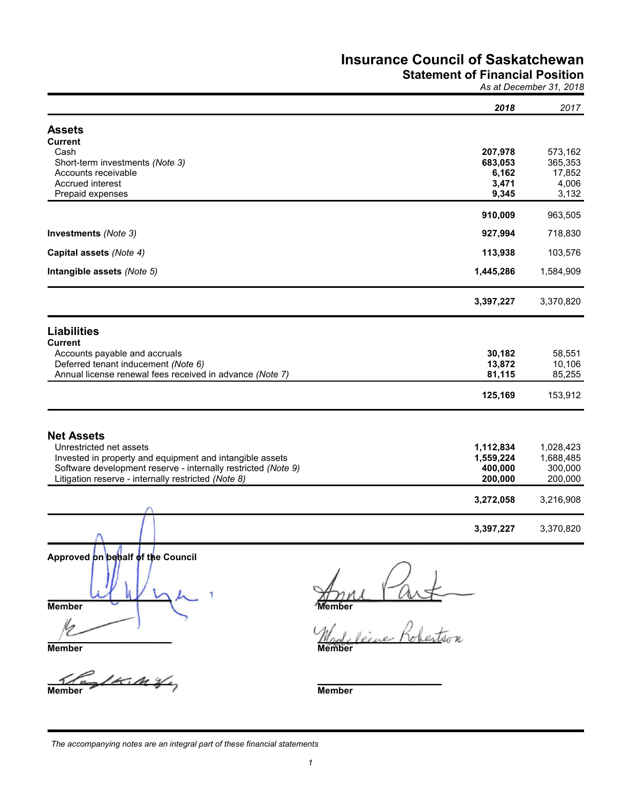# **Statement of Financial Position**

*As at December 31, 2018*

|                                                                                                                                                                                                             | 2018                                          | 2017                                           |
|-------------------------------------------------------------------------------------------------------------------------------------------------------------------------------------------------------------|-----------------------------------------------|------------------------------------------------|
| <b>Assets</b>                                                                                                                                                                                               |                                               |                                                |
| <b>Current</b><br>Cash<br>Short-term investments (Note 3)<br>Accounts receivable<br>Accrued interest<br>Prepaid expenses                                                                                    | 207,978<br>683,053<br>6,162<br>3,471<br>9,345 | 573,162<br>365,353<br>17,852<br>4,006<br>3,132 |
|                                                                                                                                                                                                             | 910,009                                       | 963,505                                        |
| Investments (Note 3)                                                                                                                                                                                        | 927,994                                       | 718,830                                        |
| Capital assets (Note 4)                                                                                                                                                                                     | 113,938                                       | 103,576                                        |
| Intangible assets (Note 5)                                                                                                                                                                                  | 1,445,286                                     | 1,584,909                                      |
|                                                                                                                                                                                                             | 3,397,227                                     | 3,370,820                                      |
| <b>Liabilities</b>                                                                                                                                                                                          |                                               |                                                |
| <b>Current</b><br>Accounts payable and accruals<br>Deferred tenant inducement (Note 6)<br>Annual license renewal fees received in advance (Note 7)                                                          | 30,182<br>13,872<br>81,115                    | 58,551<br>10,106<br>85,255                     |
|                                                                                                                                                                                                             | 125,169                                       | 153,912                                        |
| <b>Net Assets</b>                                                                                                                                                                                           |                                               |                                                |
| Unrestricted net assets<br>Invested in property and equipment and intangible assets<br>Software development reserve - internally restricted (Note 9)<br>Litigation reserve - internally restricted (Note 8) | 1,112,834<br>1,559,224<br>400,000<br>200,000  | 1,028,423<br>1,688,485<br>300,000<br>200,000   |
|                                                                                                                                                                                                             | 3,272,058                                     | 3,216,908                                      |
|                                                                                                                                                                                                             | 3,397,227                                     | 3,370,820                                      |
| Approved on behalf of the Council<br>$\sim$ 1                                                                                                                                                               |                                               |                                                |

7

**Member** Member ≺

**Member Member** 

ertson **Member Member**

*The accompanying notes are an integral part of these financial statements*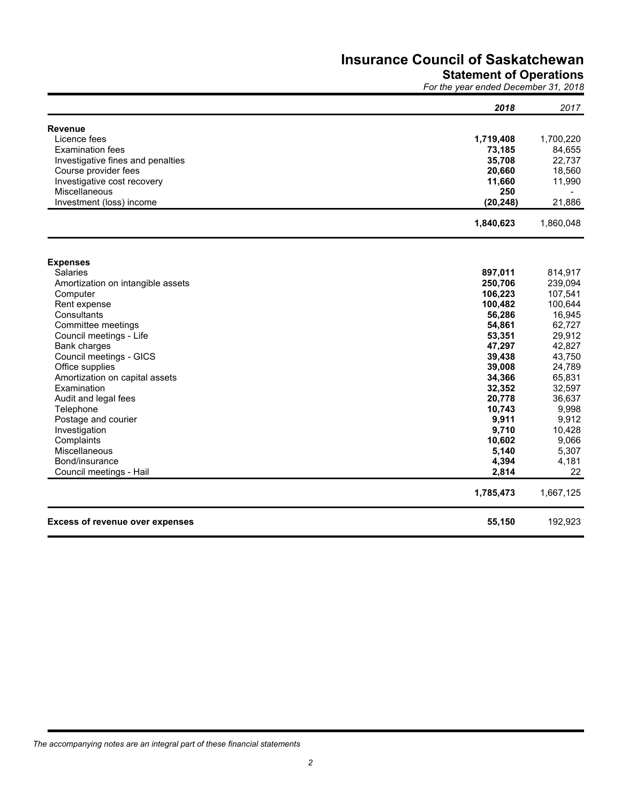# **Statement of Operations**

*For the year ended December 31, 2018*

|                                        | 2018               | 2017               |
|----------------------------------------|--------------------|--------------------|
| <b>Revenue</b>                         |                    |                    |
| Licence fees                           | 1,719,408          | 1,700,220          |
| <b>Examination fees</b>                | 73,185             | 84,655             |
| Investigative fines and penalties      | 35,708             | 22,737             |
| Course provider fees                   | 20,660             | 18,560             |
| Investigative cost recovery            | 11,660             | 11,990             |
| Miscellaneous                          | 250                |                    |
| Investment (loss) income               | (20, 248)          | 21,886             |
|                                        | 1,840,623          | 1,860,048          |
|                                        |                    |                    |
| <b>Expenses</b>                        |                    |                    |
| <b>Salaries</b>                        | 897,011            | 814,917            |
| Amortization on intangible assets      | 250,706<br>106,223 | 239,094<br>107,541 |
| Computer                               | 100,482            | 100,644            |
| Rent expense<br>Consultants            | 56,286             | 16,945             |
| Committee meetings                     | 54,861             | 62,727             |
| Council meetings - Life                | 53,351             | 29,912             |
| Bank charges                           | 47,297             | 42,827             |
| Council meetings - GICS                | 39,438             | 43,750             |
| Office supplies                        | 39,008             | 24,789             |
| Amortization on capital assets         | 34,366             | 65,831             |
| Examination                            | 32,352             | 32,597             |
| Audit and legal fees                   | 20,778             | 36,637             |
| Telephone                              | 10,743             | 9,998              |
| Postage and courier                    | 9,911              | 9,912              |
| Investigation                          | 9,710              | 10,428             |
| Complaints                             | 10,602             | 9,066              |
| Miscellaneous                          | 5,140              | 5,307              |
| Bond/insurance                         | 4,394              | 4,181              |
| Council meetings - Hail                | 2,814              | 22                 |
|                                        | 1,785,473          | 1,667,125          |
| <b>Excess of revenue over expenses</b> | 55,150             | 192,923            |

*The accompanying notes are an integral part of these financial statements*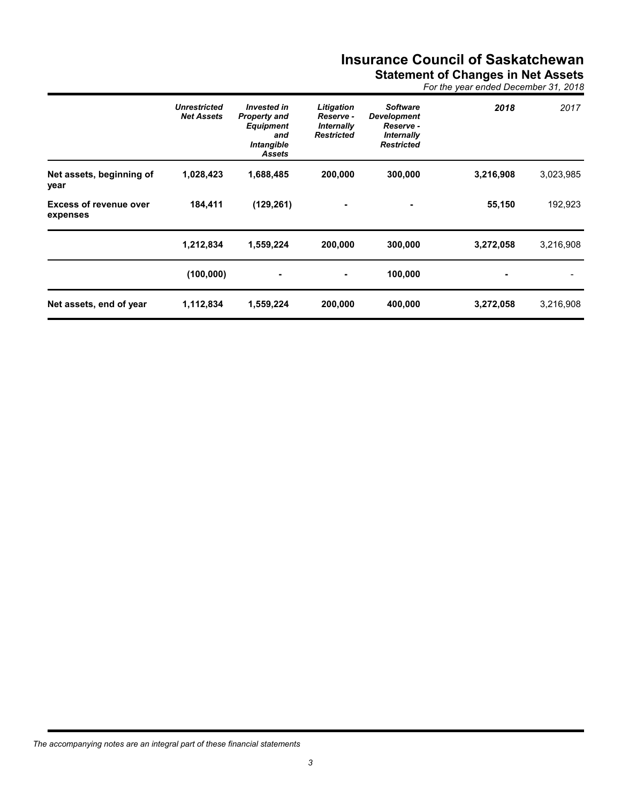**Statement of Changes in Net Assets**

*For the year ended December 31, 2018*

|                                           | <b>Unrestricted</b><br><b>Net Assets</b> | <b>Invested</b> in<br><b>Property and</b><br><b>Equipment</b><br>and<br>Intangible<br><b>Assets</b> | Litigation<br>Reserve -<br>Internally<br><b>Restricted</b> | <b>Software</b><br><b>Development</b><br>Reserve -<br><b>Internally</b><br><b>Restricted</b> | 2018      | 2017      |
|-------------------------------------------|------------------------------------------|-----------------------------------------------------------------------------------------------------|------------------------------------------------------------|----------------------------------------------------------------------------------------------|-----------|-----------|
| Net assets, beginning of<br>year          | 1,028,423                                | 1,688,485                                                                                           | 200,000                                                    | 300,000                                                                                      | 3,216,908 | 3,023,985 |
| <b>Excess of revenue over</b><br>expenses | 184,411                                  | (129, 261)                                                                                          |                                                            |                                                                                              | 55,150    | 192,923   |
|                                           | 1,212,834                                | 1,559,224                                                                                           | 200,000                                                    | 300,000                                                                                      | 3,272,058 | 3,216,908 |
|                                           | (100,000)                                | ۰                                                                                                   |                                                            | 100,000                                                                                      |           |           |
| Net assets, end of year                   | 1,112,834                                | 1,559,224                                                                                           | 200,000                                                    | 400,000                                                                                      | 3,272,058 | 3,216,908 |

*The accompanying notes are an integral part of these financial statements*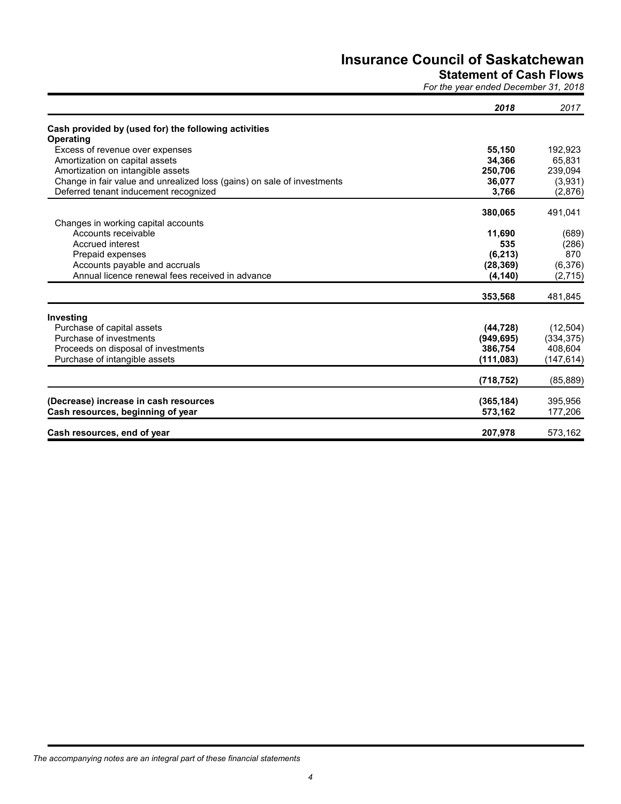# **Statement of Cash Flows**

*For the year ended December 31, 2018*

|                                                                         | 2018                  | 2017         |
|-------------------------------------------------------------------------|-----------------------|--------------|
| Cash provided by (used for) the following activities                    |                       |              |
| Operating                                                               |                       |              |
| Excess of revenue over expenses                                         | 55,150                | 192,923      |
| Amortization on capital assets                                          | 34,366                | 65,831       |
| Amortization on intangible assets                                       | 250,706               | 239,094      |
| Change in fair value and unrealized loss (gains) on sale of investments | 36,077                | (3,931)      |
| Deferred tenant inducement recognized                                   | 3,766                 | (2,876)      |
|                                                                         | 380,065               | 491,041      |
| Changes in working capital accounts<br>Accounts receivable              | 11,690                | (689)        |
| Accrued interest                                                        | 535                   |              |
| Prepaid expenses                                                        | (6, 213)              | (286)<br>870 |
| Accounts payable and accruals                                           |                       | (6, 376)     |
| Annual licence renewal fees received in advance                         | (28, 369)<br>(4, 140) | (2,715)      |
|                                                                         | 353,568               | 481,845      |
| Investing                                                               |                       |              |
| Purchase of capital assets                                              | (44, 728)             | (12, 504)    |
| Purchase of investments                                                 | (949, 695)            | (334, 375)   |
| Proceeds on disposal of investments                                     | 386,754               | 408,604      |
| Purchase of intangible assets                                           | (111, 083)            | (147, 614)   |
|                                                                         | (718, 752)            | (85, 889)    |
|                                                                         |                       |              |
| (Decrease) increase in cash resources                                   | (365, 184)            | 395,956      |
| Cash resources, beginning of year                                       | 573,162               | 177,206      |
| Cash resources, end of year                                             | 207,978               | 573,162      |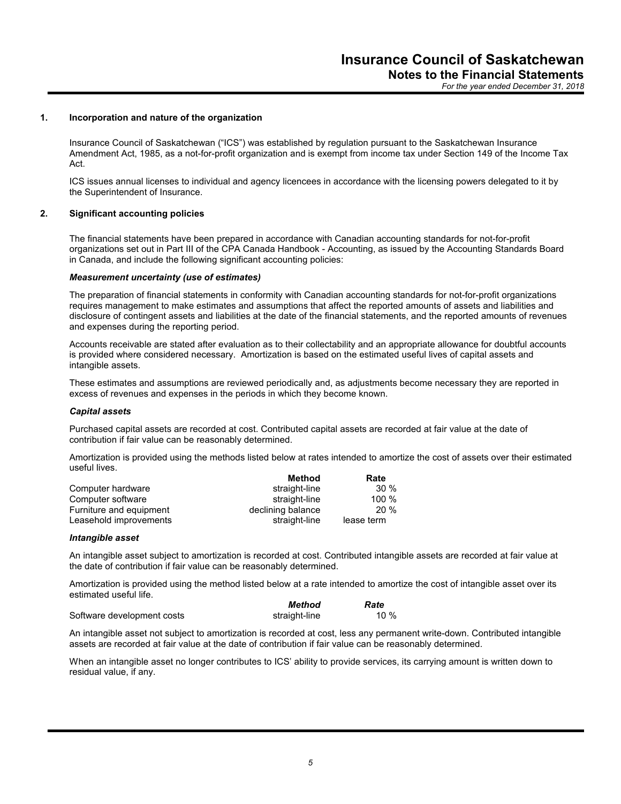*For the year ended December 31, 2018*

#### **1. Incorporation and nature of the organization**

Insurance Council of Saskatchewan ("ICS") was established by regulation pursuant to the Saskatchewan Insurance Amendment Act, 1985, as a not-for-profit organization and is exempt from income tax under Section 149 of the Income Tax Act.

ICS issues annual licenses to individual and agency licencees in accordance with the licensing powers delegated to it by the Superintendent of Insurance.

#### **2. Significant accounting policies**

The financial statements have been prepared in accordance with Canadian accounting standards for not-for-profit organizations set out in Part III of the CPA Canada Handbook - Accounting, as issued by the Accounting Standards Board in Canada, and include the following significant accounting policies:

#### *Measurement uncertainty (use of estimates)*

The preparation of financial statements in conformity with Canadian accounting standards for not-for-profit organizations requires management to make estimates and assumptions that affect the reported amounts of assets and liabilities and disclosure of contingent assets and liabilities at the date of the financial statements, and the reported amounts of revenues and expenses during the reporting period.

Accounts receivable are stated after evaluation as to their collectability and an appropriate allowance for doubtful accounts is provided where considered necessary. Amortization is based on the estimated useful lives of capital assets and intangible assets.

These estimates and assumptions are reviewed periodically and, as adjustments become necessary they are reported in excess of revenues and expenses in the periods in which they become known.

## *Capital assets*

Purchased capital assets are recorded at cost. Contributed capital assets are recorded at fair value at the date of contribution if fair value can be reasonably determined.

Amortization is provided using the methods listed below at rates intended to amortize the cost of assets over their estimated useful lives.

|                         | Method            | Rate       |
|-------------------------|-------------------|------------|
| Computer hardware       | straight-line     | $30\%$     |
| Computer software       | straight-line     | $100 \%$   |
| Furniture and equipment | declining balance | 20%        |
| Leasehold improvements  | straight-line     | lease term |

#### *Intangible asset*

An intangible asset subject to amortization is recorded at cost. Contributed intangible assets are recorded at fair value at the date of contribution if fair value can be reasonably determined.

Amortization is provided using the method listed below at a rate intended to amortize the cost of intangible asset over its estimated useful life.

|                            | Method        | Rate |
|----------------------------|---------------|------|
| Software development costs | straight-line | 10 % |

An intangible asset not subject to amortization is recorded at cost, less any permanent write-down. Contributed intangible assets are recorded at fair value at the date of contribution if fair value can be reasonably determined.

When an intangible asset no longer contributes to ICS' ability to provide services, its carrying amount is written down to residual value, if any.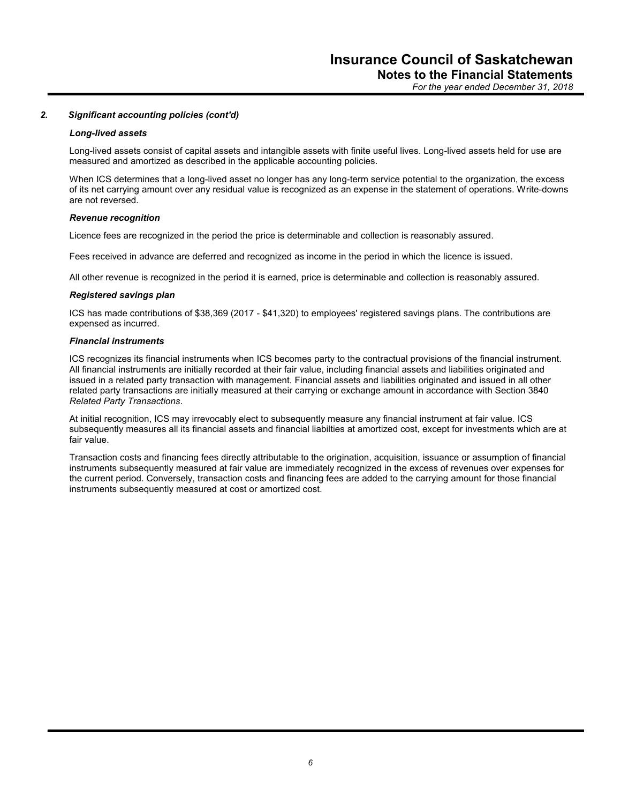*For the year ended December 31, 2018*

## *2. Significant accounting policies (cont'd)*

#### *Long-lived assets*

Long-lived assets consist of capital assets and intangible assets with finite useful lives. Long-lived assets held for use are measured and amortized as described in the applicable accounting policies.

When ICS determines that a long-lived asset no longer has any long-term service potential to the organization, the excess of its net carrying amount over any residual value is recognized as an expense in the statement of operations. Write-downs are not reversed.

#### *Revenue recognition*

Licence fees are recognized in the period the price is determinable and collection is reasonably assured.

Fees received in advance are deferred and recognized as income in the period in which the licence is issued.

All other revenue is recognized in the period it is earned, price is determinable and collection is reasonably assured.

#### *Registered savings plan*

ICS has made contributions of \$38,369 (2017 - \$41,320) to employees' registered savings plans. The contributions are expensed as incurred.

### *Financial instruments*

ICS recognizes its financial instruments when ICS becomes party to the contractual provisions of the financial instrument. All financial instruments are initially recorded at their fair value, including financial assets and liabilities originated and issued in a related party transaction with management. Financial assets and liabilities originated and issued in all other related party transactions are initially measured at their carrying or exchange amount in accordance with Section 3840 *Related Party Transactions*.

At initial recognition, ICS may irrevocably elect to subsequently measure any financial instrument at fair value. ICS subsequently measures all its financial assets and financial liabilties at amortized cost, except for investments which are at fair value.

Transaction costs and financing fees directly attributable to the origination, acquisition, issuance or assumption of financial instruments subsequently measured at fair value are immediately recognized in the excess of revenues over expenses for the current period. Conversely, transaction costs and financing fees are added to the carrying amount for those financial instruments subsequently measured at cost or amortized cost.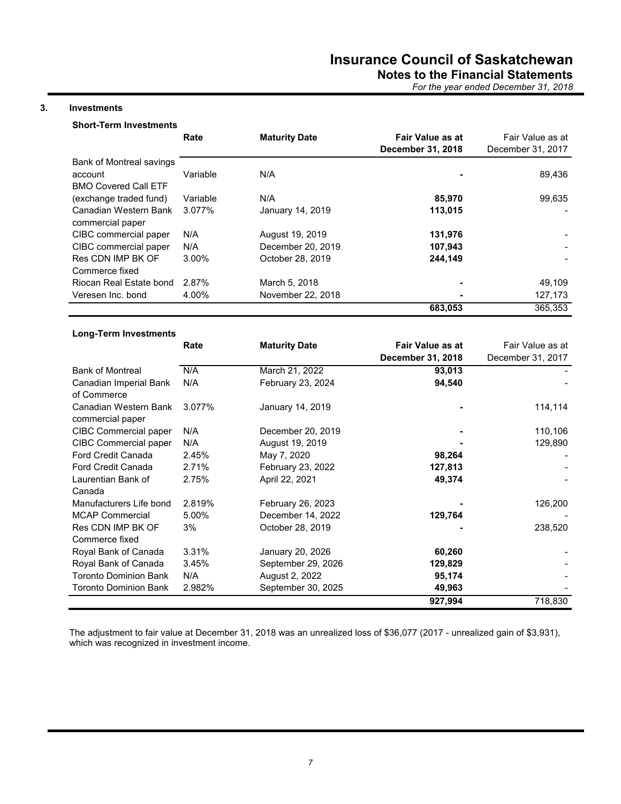# **Notes to the Financial Statements**

*For the year ended December 31, 2018*

# **3. Investments**

# **Short-Term Investments**

|                             | Rate     | <b>Maturity Date</b> | Fair Value as at<br><b>December 31, 2018</b> | Fair Value as at<br>December 31, 2017 |
|-----------------------------|----------|----------------------|----------------------------------------------|---------------------------------------|
| Bank of Montreal savings    |          |                      |                                              |                                       |
| account                     | Variable | N/A                  |                                              | 89,436                                |
| <b>BMO Covered Call ETF</b> |          |                      |                                              |                                       |
| (exchange traded fund)      | Variable | N/A                  | 85,970                                       | 99,635                                |
| Canadian Western Bank       | 3.077%   | January 14, 2019     | 113,015                                      |                                       |
| commercial paper            |          |                      |                                              |                                       |
| CIBC commercial paper       | N/A      | August 19, 2019      | 131,976                                      |                                       |
| CIBC commercial paper       | N/A      | December 20, 2019    | 107,943                                      |                                       |
| Res CDN IMP BK OF           | 3.00%    | October 28, 2019     | 244,149                                      |                                       |
| Commerce fixed              |          |                      |                                              |                                       |
| Riocan Real Estate bond     | 2.87%    | March 5, 2018        | ۰                                            | 49,109                                |
| Veresen Inc. bond           | 4.00%    | November 22, 2018    |                                              | 127,173                               |
|                             |          |                      | 683.053                                      | 365.353                               |

# **Long-Term Investments**

|                                           | Rate   | <b>Maturity Date</b> | Fair Value as at  | Fair Value as at  |
|-------------------------------------------|--------|----------------------|-------------------|-------------------|
|                                           |        |                      | December 31, 2018 | December 31, 2017 |
| <b>Bank of Montreal</b>                   | N/A    | March 21, 2022       | 93,013            |                   |
| Canadian Imperial Bank<br>of Commerce     | N/A    | February 23, 2024    | 94,540            |                   |
| Canadian Western Bank<br>commercial paper | 3.077% | January 14, 2019     |                   | 114,114           |
| CIBC Commercial paper                     | N/A    | December 20, 2019    |                   | 110,106           |
| <b>CIBC Commercial paper</b>              | N/A    | August 19, 2019      |                   | 129,890           |
| Ford Credit Canada                        | 2.45%  | May 7, 2020          | 98,264            |                   |
| Ford Credit Canada                        | 2.71%  | February 23, 2022    | 127,813           |                   |
| Laurentian Bank of                        | 2.75%  | April 22, 2021       | 49,374            |                   |
| Canada                                    |        |                      |                   |                   |
| Manufacturers Life bond                   | 2.819% | February 26, 2023    |                   | 126,200           |
| <b>MCAP Commercial</b>                    | 5.00%  | December 14, 2022    | 129,764           |                   |
| Res CDN IMP BK OF                         | 3%     | October 28, 2019     |                   | 238,520           |
| Commerce fixed                            |        |                      |                   |                   |
| Royal Bank of Canada                      | 3.31%  | January 20, 2026     | 60,260            |                   |
| Royal Bank of Canada                      | 3.45%  | September 29, 2026   | 129,829           |                   |
| <b>Toronto Dominion Bank</b>              | N/A    | August 2, 2022       | 95,174            |                   |
| <b>Toronto Dominion Bank</b>              | 2.982% | September 30, 2025   | 49,963            |                   |
|                                           |        |                      | 927,994           | 718,830           |

The adjustment to fair value at December 31, 2018 was an unrealized loss of \$36,077 (2017 - unrealized gain of \$3,931), which was recognized in investment income.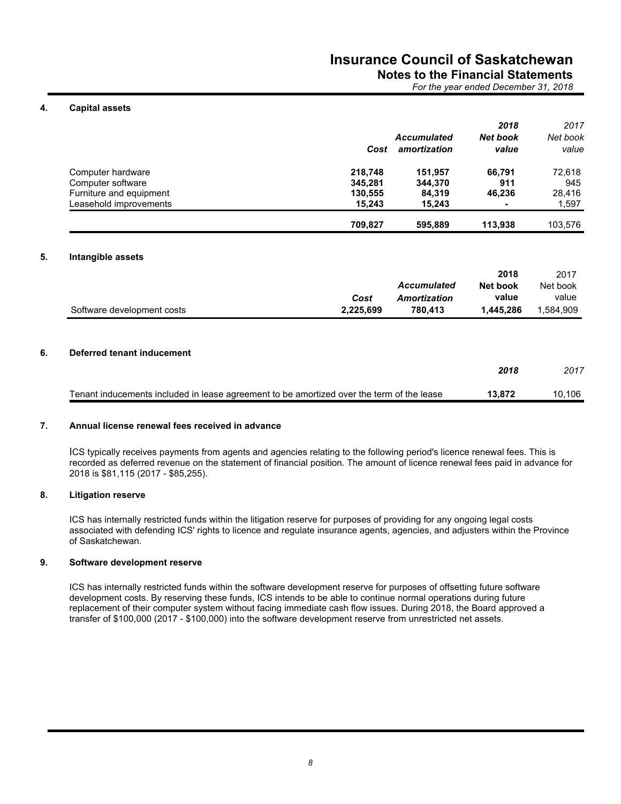# **Notes to the Financial Statements**

*For the year ended December 31, 2018*

# **4. Capital assets**

|                         |         |                    | 2018            | 2017     |
|-------------------------|---------|--------------------|-----------------|----------|
|                         |         | <b>Accumulated</b> | <b>Net book</b> | Net book |
|                         | Cost    | amortization       | value           | value    |
| Computer hardware       | 218,748 | 151.957            | 66.791          | 72,618   |
| Computer software       | 345.281 | 344.370            | 911             | 945      |
| Furniture and equipment | 130.555 | 84.319             | 46.236          | 28.416   |
| Leasehold improvements  | 15.243  | 15.243             | ۰               | 1,597    |
|                         | 709.827 | 595.889            | 113.938         | 103.576  |

# **5. Intangible assets**

|                            |           |                    | 2018      | 2017     |
|----------------------------|-----------|--------------------|-----------|----------|
|                            |           | <b>Accumulated</b> | Net book  | Net book |
|                            | Cost      | Amortization       | value     | value    |
| Software development costs | 2.225.699 | 780.413            | 1.445.286 | .584.909 |

## **6. Deferred tenant inducement**

|                                                                                           | 2018   | 2017   |
|-------------------------------------------------------------------------------------------|--------|--------|
| Tenant inducements included in lease agreement to be amortized over the term of the lease | 13.872 | 10.106 |

### **7. Annual license renewal fees received in advance**

ICS typically receives payments from agents and agencies relating to the following period's licence renewal fees. This is recorded as deferred revenue on the statement of financial position. The amount of licence renewal fees paid in advance for 2018 is \$81,115 (2017 - \$85,255).

### **8. Litigation reserve**

ICS has internally restricted funds within the litigation reserve for purposes of providing for any ongoing legal costs associated with defending ICS' rights to licence and regulate insurance agents, agencies, and adjusters within the Province of Saskatchewan.

### **9. Software development reserve**

ICS has internally restricted funds within the software development reserve for purposes of offsetting future software development costs. By reserving these funds, ICS intends to be able to continue normal operations during future replacement of their computer system without facing immediate cash flow issues. During 2018, the Board approved a transfer of \$100,000 (2017 - \$100,000) into the software development reserve from unrestricted net assets.